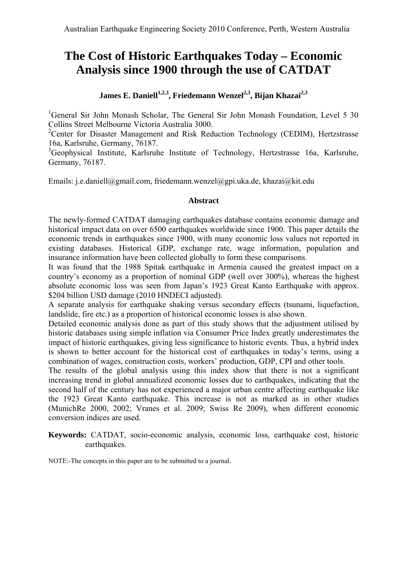# **The Cost of Historic Earthquakes Today – Economic Analysis since 1900 through the use of CATDAT**

James E. Daniell<sup>1,2,3</sup>, Friedemann Wenzel<sup>2,3</sup>, Bijan Khazai<sup>2,3</sup>

<sup>1</sup>General Sir John Monash Scholar, The General Sir John Monash Foundation, Level 5 30 Collins Street Melbourne Victoria Australia 3000.

<sup>2</sup>Center for Disaster Management and Risk Reduction Technology (CEDIM), Hertzstrasse 16a, Karlsruhe, Germany, 76187.

<sup>3</sup>Geophysical Institute, Karlsruhe Institute of Technology, Hertzstrasse 16a, Karlsruhe, Germany, 76187.

Emails: j.e.daniell@gmail.com, [friedemann.wenzel@gpi.uka.de,](mailto:friedemann.wenzel@gpi.uka.de) [khazai@kit.edu](mailto:khazai@kit.edu)

#### **Abstract**

The newly-formed CATDAT damaging earthquakes database contains economic damage and historical impact data on over 6500 earthquakes worldwide since 1900. This paper details the economic trends in earthquakes since 1900, with many economic loss values not reported in existing databases. Historical GDP, exchange rate, wage information, population and insurance information have been collected globally to form these comparisons.

It was found that the 1988 Spitak earthquake in Armenia caused the greatest impact on a country's economy as a proportion of nominal GDP (well over 300%), whereas the highest absolute economic loss was seen from Japan's 1923 Great Kanto Earthquake with approx. \$204 billion USD damage (2010 HNDECI adjusted).

A separate analysis for earthquake shaking versus secondary effects (tsunami, liquefaction, landslide, fire etc.) as a proportion of historical economic losses is also shown.

Detailed economic analysis done as part of this study shows that the adjustment utilised by historic databases using simple inflation via Consumer Price Index greatly underestimates the impact of historic earthquakes, giving less significance to historic events. Thus, a hybrid index is shown to better account for the historical cost of earthquakes in today's terms, using a combination of wages, construction costs, workers' production, GDP, CPI and other tools.

The results of the global analysis using this index show that there is not a significant increasing trend in global annualized economic losses due to earthquakes, indicating that the second half of the century has not experienced a major urban centre affecting earthquake like the 1923 Great Kanto earthquake. This increase is not as marked as in other studies (MunichRe 2000, 2002; Vranes et al. 2009; Swiss Re 2009), when different economic conversion indices are used.

**Keywords:** CATDAT, socio-economic analysis, economic loss, earthquake cost, historic earthquakes.

NOTE:-The concepts in this paper are to be submitted to a journal.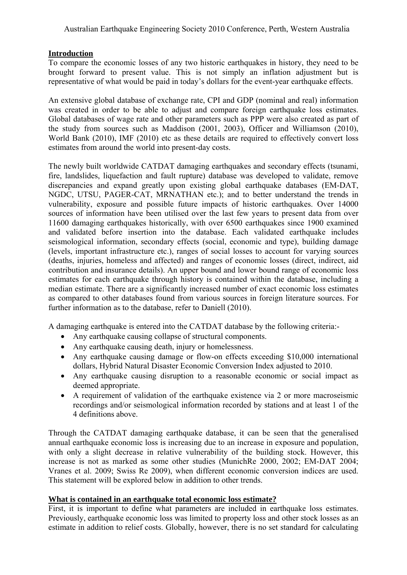# **Introduction**

To compare the economic losses of any two historic earthquakes in history, they need to be brought forward to present value. This is not simply an inflation adjustment but is representative of what would be paid in today's dollars for the event-year earthquake effects.

An extensive global database of exchange rate, CPI and GDP (nominal and real) information was created in order to be able to adjust and compare foreign earthquake loss estimates. Global databases of wage rate and other parameters such as PPP were also created as part of the study from sources such as Maddison (2001, 2003), Officer and Williamson (2010), World Bank (2010), IMF (2010) etc as these details are required to effectively convert loss estimates from around the world into present-day costs.

The newly built worldwide CATDAT damaging earthquakes and secondary effects (tsunami, fire, landslides, liquefaction and fault rupture) database was developed to validate, remove discrepancies and expand greatly upon existing global earthquake databases (EM-DAT, NGDC, UTSU, PAGER-CAT, MRNATHAN etc.); and to better understand the trends in vulnerability, exposure and possible future impacts of historic earthquakes. Over 14000 sources of information have been utilised over the last few years to present data from over 11600 damaging earthquakes historically, with over 6500 earthquakes since 1900 examined and validated before insertion into the database. Each validated earthquake includes seismological information, secondary effects (social, economic and type), building damage (levels, important infrastructure etc.), ranges of social losses to account for varying sources (deaths, injuries, homeless and affected) and ranges of economic losses (direct, indirect, aid contribution and insurance details). An upper bound and lower bound range of economic loss estimates for each earthquake through history is contained within the database, including a median estimate. There are a significantly increased number of exact economic loss estimates as compared to other databases found from various sources in foreign literature sources. For further information as to the database, refer to Daniell (2010).

A damaging earthquake is entered into the CATDAT database by the following criteria:-

- Any earthquake causing collapse of structural components.
- Any earthquake causing death, injury or homelessness.
- Any earthquake causing damage or flow-on effects exceeding \$10,000 international dollars, Hybrid Natural Disaster Economic Conversion Index adjusted to 2010.
- Any earthquake causing disruption to a reasonable economic or social impact as deemed appropriate.
- A requirement of validation of the earthquake existence via 2 or more macroseismic recordings and/or seismological information recorded by stations and at least 1 of the 4 definitions above.

Through the CATDAT damaging earthquake database, it can be seen that the generalised annual earthquake economic loss is increasing due to an increase in exposure and population, with only a slight decrease in relative vulnerability of the building stock. However, this increase is not as marked as some other studies (MunichRe 2000, 2002; EM-DAT 2004; Vranes et al. 2009; Swiss Re 2009), when different economic conversion indices are used. This statement will be explored below in addition to other trends.

# **What is contained in an earthquake total economic loss estimate?**

First, it is important to define what parameters are included in earthquake loss estimates. Previously, earthquake economic loss was limited to property loss and other stock losses as an estimate in addition to relief costs. Globally, however, there is no set standard for calculating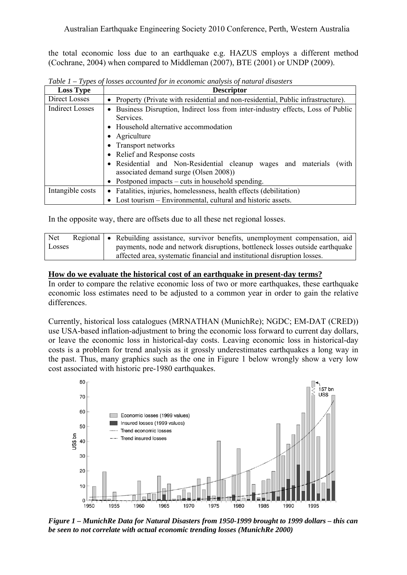the total economic loss due to an earthquake e.g. HAZUS employs a different method (Cochrane, 2004) when compared to Middleman (2007), BTE (2001) or UNDP (2009).

| <b>Loss Type</b>       | <b>Descriptor</b>                                                                                                                                                                                                           |  |  |  |
|------------------------|-----------------------------------------------------------------------------------------------------------------------------------------------------------------------------------------------------------------------------|--|--|--|
| Direct Losses          | Property (Private with residential and non-residential, Public infrastructure).<br>$\bullet$                                                                                                                                |  |  |  |
| <b>Indirect Losses</b> | Business Disruption, Indirect loss from inter-industry effects, Loss of Public<br>Services.<br>Household alternative accommodation<br>$\bullet$<br>Agriculture<br>٠                                                         |  |  |  |
|                        | • Transport networks<br>• Relief and Response costs<br>• Residential and Non-Residential cleanup wages and materials<br>(with<br>associated demand surge (Olsen 2008))<br>• Postponed impacts – cuts in household spending. |  |  |  |
| Intangible costs       | • Fatalities, injuries, homelessness, health effects (debilitation)<br>• Lost tourism – Environmental, cultural and historic assets.                                                                                        |  |  |  |

*Table 1 – Types of losses accounted for in economic analysis of natural disasters*

In the opposite way, there are offsets due to all these net regional losses.

| Net    | Regional   • Rebuilding assistance, survivor benefits, unemployment compensation, aid |
|--------|---------------------------------------------------------------------------------------|
| Losses | payments, node and network disruptions, bottleneck losses outside earthquake          |
|        | affected area, systematic financial and institutional disruption losses.              |

## **How do we evaluate the historical cost of an earthquake in present-day terms?**

In order to compare the relative economic loss of two or more earthquakes, these earthquake economic loss estimates need to be adjusted to a common year in order to gain the relative differences.

Currently, historical loss catalogues (MRNATHAN (MunichRe); NGDC; EM-DAT (CRED)) use USA-based inflation-adjustment to bring the economic loss forward to current day dollars, or leave the economic loss in historical-day costs. Leaving economic loss in historical-day costs is a problem for trend analysis as it grossly underestimates earthquakes a long way in the past. Thus, many graphics such as the one in [Figure 1](#page-2-0) below wrongly show a very low cost associated with historic pre-1980 earthquakes.



<span id="page-2-0"></span>*Figure 1 – MunichRe Data for Natural Disasters from 1950-1999 brought to 1999 dollars – this can be seen to not correlate with actual economic trending losses (MunichRe 2000)*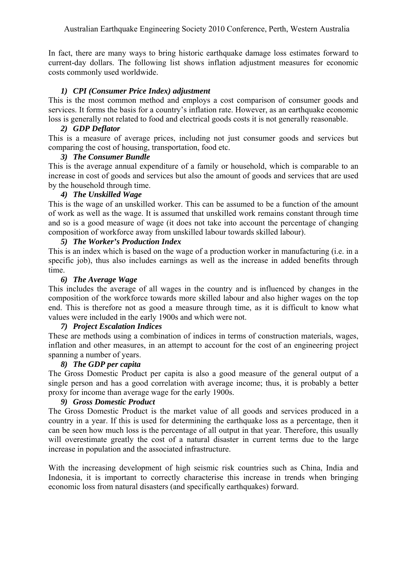In fact, there are many ways to bring historic earthquake damage loss estimates forward to current-day dollars. The following list shows inflation adjustment measures for economic costs commonly used worldwide.

# *1) CPI (Consumer Price Index) adjustment*

This is the most common method and employs a cost comparison of consumer goods and services. It forms the basis for a country's inflation rate. However, as an earthquake economic loss is generally not related to food and electrical goods costs it is not generally reasonable.

# *2) GDP Deflator*

This is a measure of average prices, including not just consumer goods and services but comparing the cost of housing, transportation, food etc.

# *3) The Consumer Bundle*

This is the average annual expenditure of a family or household, which is comparable to an increase in cost of goods and services but also the amount of goods and services that are used by the household through time.

# *4) The Unskilled Wage*

This is the wage of an unskilled worker. This can be assumed to be a function of the amount of work as well as the wage. It is assumed that unskilled work remains constant through time and so is a good measure of wage (it does not take into account the percentage of changing composition of workforce away from unskilled labour towards skilled labour).

# *5) The Worker's Production Index*

This is an index which is based on the wage of a production worker in manufacturing (i.e. in a specific job), thus also includes earnings as well as the increase in added benefits through time.

# *6) The Average Wage*

This includes the average of all wages in the country and is influenced by changes in the composition of the workforce towards more skilled labour and also higher wages on the top end. This is therefore not as good a measure through time, as it is difficult to know what values were included in the early 1900s and which were not.

# *7) Project Escalation Indices*

These are methods using a combination of indices in terms of construction materials, wages, inflation and other measures, in an attempt to account for the cost of an engineering project spanning a number of years.

# *8) The GDP per capita*

The Gross Domestic Product per capita is also a good measure of the general output of a single person and has a good correlation with average income; thus, it is probably a better proxy for income than average wage for the early 1900s.

# *9) Gross Domestic Product*

The Gross Domestic Product is the market value of all goods and services produced in a country in a year. If this is used for determining the earthquake loss as a percentage, then it can be seen how much loss is the percentage of all output in that year. Therefore, this usually will overestimate greatly the cost of a natural disaster in current terms due to the large increase in population and the associated infrastructure.

With the increasing development of high seismic risk countries such as China, India and Indonesia, it is important to correctly characterise this increase in trends when bringing economic loss from natural disasters (and specifically earthquakes) forward.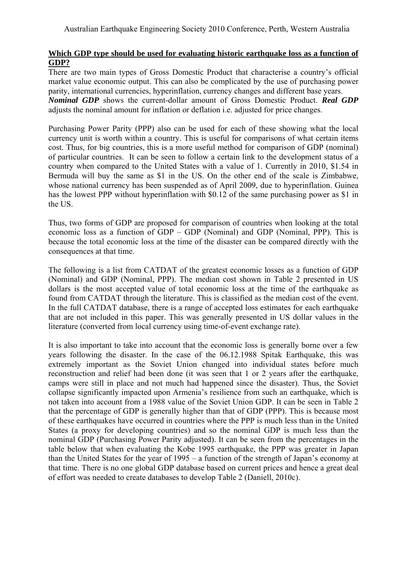# **Which GDP type should be used for evaluating historic earthquake loss as a function of GDP?**

There are two main types of Gross Domestic Product that characterise a country's official market value economic output. This can also be complicated by the use of purchasing power parity, international currencies, hyperinflation, currency changes and different base years. *Nominal GDP* shows the current-dollar amount of Gross Domestic Product. *Real GDP* adjusts the nominal amount for inflation or deflation i.e. adjusted for price changes.

Purchasing Power Parity (PPP) also can be used for each of these showing what the local currency unit is worth within a country. This is useful for comparisons of what certain items cost. Thus, for big countries, this is a more useful method for comparison of GDP (nominal) of particular countries. It can be seen to follow a certain link to the development status of a country when compared to the United States with a value of 1. Currently in 2010, \$1.54 in Bermuda will buy the same as \$1 in the US. On the other end of the scale is Zimbabwe, whose national currency has been suspended as of April 2009, due to hyperinflation. Guinea has the lowest PPP without hyperinflation with \$0.12 of the same purchasing power as \$1 in the US.

Thus, two forms of GDP are proposed for comparison of countries when looking at the total economic loss as a function of GDP – GDP (Nominal) and GDP (Nominal, PPP). This is because the total economic loss at the time of the disaster can be compared directly with the consequences at that time.

The following is a list from CATDAT of the greatest economic losses as a function of GDP (Nominal) and GDP (Nominal, PPP). The median cost shown in Table 2 presented in US dollars is the most accepted value of total economic loss at the time of the earthquake as found from CATDAT through the literature. This is classified as the median cost of the event. In the full CATDAT database, there is a range of accepted loss estimates for each earthquake that are not included in this paper. This was generally presented in US dollar values in the literature (converted from local currency using time-of-event exchange rate).

It is also important to take into account that the economic loss is generally borne over a few years following the disaster. In the case of the 06.12.1988 Spitak Earthquake, this was extremely important as the Soviet Union changed into individual states before much reconstruction and relief had been done (it was seen that 1 or 2 years after the earthquake, camps were still in place and not much had happened since the disaster). Thus, the Soviet collapse significantly impacted upon Armenia's resilience from such an earthquake, which is not taken into account from a 1988 value of the Soviet Union GDP. It can be seen in Table 2 that the percentage of GDP is generally higher than that of GDP (PPP). This is because most of these earthquakes have occurred in countries where the PPP is much less than in the United States (a proxy for developing countries) and so the nominal GDP is much less than the nominal GDP (Purchasing Power Parity adjusted). It can be seen from the percentages in the table below that when evaluating the Kobe 1995 earthquake, the PPP was greater in Japan than the United States for the year of 1995 – a function of the strength of Japan's economy at that time. There is no one global GDP database based on current prices and hence a great deal of effort was needed to create databases to develop Table 2 (Daniell, 2010c).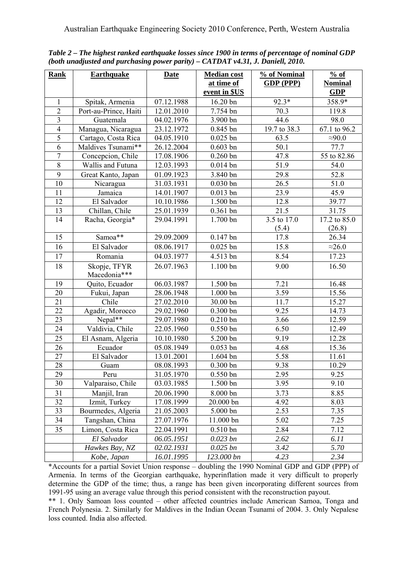| <b>Rank</b>     | <b>Earthquake</b>     | <b>Date</b> | <b>Median cost</b> | % of Nominal      | % of              |
|-----------------|-----------------------|-------------|--------------------|-------------------|-------------------|
|                 |                       |             | at time of         | GDP (PPP)         | <b>Nominal</b>    |
|                 |                       |             | event in \$US      |                   | <b>GDP</b>        |
| $\mathbf{1}$    | Spitak, Armenia       | 07.12.1988  | 16.20 bn           | 92.3*             | 358.9*            |
| $\overline{2}$  | Port-au-Prince, Haiti | 12.01.2010  | 7.754 bn           | 70.3              | 119.8             |
| $\overline{3}$  | Guatemala             | 04.02.1976  | 3.900 bn           | 44.6              | 98.0              |
| $\overline{4}$  | Managua, Nicaragua    | 23.12.1972  | $0.845$ bn         | 19.7 to 38.3      | 67.1 to 96.2      |
| 5               | Cartago, Costa Rica   | 04.05.1910  | $0.025$ bn         | 63.5              | $\approx 90.0$    |
| 6               | Maldives Tsunami**    | 26.12.2004  | $0.603$ bn         | 50.1              | 77.7              |
| $\overline{7}$  | Concepcion, Chile     | 17.08.1906  | $0.260$ bn         | 47.8              | 55 to 82.86       |
| $\overline{8}$  | Wallis and Futuna     | 12.03.1993  | $0.014$ bn         | 51.9              | 54.0              |
| 9               | Great Kanto, Japan    | 01.09.1923  | 3.840 bn           | 29.8              | 52.8              |
| 10              | Nicaragua             | 31.03.1931  | $0.030$ bn         | $\overline{26.5}$ | $\overline{51.0}$ |
| 11              | Jamaica               | 14.01.1907  | $0.013$ bn         | 23.9              | 45.9              |
| 12              | El Salvador           | 10.10.1986  | 1.500 bn           | 12.8              | 39.77             |
| 13              | Chillan, Chile        | 25.01.1939  | $0.361$ bn         | 21.5              | 31.75             |
| 14              | Racha, Georgia*       | 29.04.1991  | 1.700 bn           | 3.5 to 17.0       | 17.2 to 85.0      |
|                 |                       |             |                    | (5.4)             | (26.8)            |
| 15              | Samoa**               | 29.09.2009  | $0.147$ bn         | 17.8              | 26.34             |
| 16              | El Salvador           | 08.06.1917  | $0.025$ bn         | 15.8              | $\approx$ 26.0    |
| 17              | Romania               | 04.03.1977  | 4.513 bn           | 8.54              | 17.23             |
| 18              | Skopje, TFYR          | 26.07.1963  | 1.100 bn           | 9.00              | 16.50             |
|                 | Macedonia***          |             |                    |                   |                   |
| 19              | Quito, Ecuador        | 06.03.1987  | 1.500 bn           | 7.21              | 16.48             |
| 20              | Fukui, Japan          | 28.06.1948  | 1.000 bn           | 3.59              | 15.56             |
| 21              | Chile                 | 27.02.2010  | 30.00 bn           | 11.7              | 15.27             |
| 22              | Agadir, Morocco       | 29.02.1960  | $0.300$ bn         | 9.25              | 14.73             |
| 23              | Nepal**               | 29.07.1980  | $0.210$ bn         | 3.66              | 12.59             |
| 24              | Valdivia, Chile       | 22.05.1960  | $0.550$ bn         | 6.50              | 12.49             |
| 25              | El Asnam, Algeria     | 10.10.1980  | 5.200 bn           | 9.19              | 12.28             |
| 26              | Ecuador               | 05.08.1949  | $0.053$ bn         | 4.68              | 15.36             |
| 27              | El Salvador           | 13.01.2001  | 1.604 bn           | 5.58              | 11.61             |
| $\overline{28}$ | Guam                  | 08.08.1993  | $0.300$ bn         | 9.38              | 10.29             |
| 29              | Peru                  | 31.05.1970  | $0.550$ bn         | 2.95              | 9.25              |
| 30              | Valparaiso, Chile     | 03.03.1985  | 1.500 bn           | 3.95              | 9.10              |
| 31              | Manjil, Iran          | 20.06.1990  | 8.000 bn           | 3.73              | 8.85              |
| 32              | Izmit, Turkey         | 17.08.1999  | 20.000 bn          | 4.92              | 8.03              |
| 33              | Bourmedes, Algeria    | 21.05.2003  | 5.000 bn           | 2.53              | 7.35              |
| 34              | Tangshan, China       | 27.07.1976  | 11.000 bn          | 5.02              | 7.25              |
| 35              | Limon, Costa Rica     | 22.04.1991  | $0.510$ bn         | 2.84              | 7.12              |
|                 | El Salvador           | 06.05.1951  | $0.023$ bn         | 2.62              | 6.11              |
|                 | Hawkes Bay, NZ        | 02.02.1931  | $0.025$ bn         | 3.42              | 5.70              |
|                 | Kobe, Japan           | 16.01.1995  | 123.000 bn         | 4.23              | 2.34              |

*Table 2 – The highest ranked earthquake losses since 1900 in terms of percentage of nominal GDP (both unadjusted and purchasing power parity) – CATDAT v4.31, J. Daniell, 2010.* 

\*Accounts for a partial Soviet Union response – doubling the 1990 Nominal GDP and GDP (PPP) of Armenia. In terms of the Georgian earthquake, hyperinflation made it very difficult to properly determine the GDP of the time; thus, a range has been given incorporating different sources from 1991-95 using an average value through this period consistent with the reconstruction payout.

\*\* 1. Only Samoan loss counted – other affected countries include American Samoa, Tonga and French Polynesia. 2. Similarly for Maldives in the Indian Ocean Tsunami of 2004. 3. Only Nepalese loss counted. India also affected.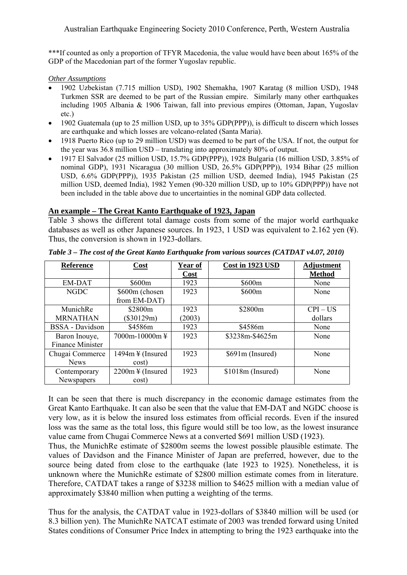\*\*\*If counted as only a proportion of TFYR Macedonia, the value would have been about 165% of the GDP of the Macedonian part of the former Yugoslav republic.

*Other Assumptions*

- 1902 Uzbekistan (7.715 million USD), 1902 Shemakha, 1907 Karatag (8 million USD), 1948 Turkmen SSR are deemed to be part of the Russian empire. Similarly many other earthquakes including 1905 Albania & 1906 Taiwan, fall into previous empires (Ottoman, Japan, Yugoslav etc.)
- 1902 Guatemala (up to 25 million USD, up to 35% GDP(PPP)), is difficult to discern which losses are earthquake and which losses are volcano-related (Santa Maria).
- 1918 Puerto Rico (up to 29 million USD) was deemed to be part of the USA. If not, the output for the year was 36.8 million USD – translating into approximately 80% of output.
- 1917 El Salvador (25 million USD, 15.7% GDP(PPP)), 1928 Bulgaria (16 million USD, 3.85% of nominal GDP), 1931 Nicaragua (30 million USD, 26.5% GDP(PPP)), 1934 Bihar (25 million USD, 6.6% GDP(PPP)), 1935 Pakistan (25 million USD, deemed India), 1945 Pakistan (25 million USD, deemed India), 1982 Yemen (90-320 million USD, up to 10% GDP(PPP)) have not been included in the table above due to uncertainties in the nominal GDP data collected.

## **An example – The Great Kanto Earthquake of 1923, Japan**

[Table 3](#page-6-0) shows the different total damage costs from some of the major world earthquake databases as well as other Japanese sources. In 1923, 1 USD was equivalent to 2.162 yen (¥). Thus, the conversion is shown in 1923-dollars.

<span id="page-6-0"></span>

| <b>Reference</b>        | <b>Cost</b>                  | Year of | Cost in 1923 USD    | <b>Adjustment</b> |
|-------------------------|------------------------------|---------|---------------------|-------------------|
|                         |                              | Cost    |                     | <b>Method</b>     |
| EM-DAT                  | \$600 <sub>m</sub>           | 1923    | \$600m              | None              |
| <b>NGDC</b>             | \$600m (chosen               | 1923    | \$600m              | None              |
|                         | from EM-DAT)                 |         |                     |                   |
| MunichRe                | \$2800 <sub>m</sub>          | 1923    | \$2800 <sub>m</sub> | $CPI - US$        |
| <b>MRNATHAN</b>         | \$30129m)                    | (2003)  |                     | dollars           |
| <b>BSSA</b> - Davidson  | \$4586m                      | 1923    | \$4586m             | None              |
| Baron Inouye,           | $7000m-10000m \frac{1}{3}$   | 1923    | \$3238m-\$4625m     | None              |
| <b>Finance Minister</b> |                              |         |                     |                   |
| Chugai Commerce         | $1494m \text{ H}$ (Insured   | 1923    | \$691m (Insured)    | None              |
| <b>News</b>             | cost)                        |         |                     |                   |
| Contemporary            | $2200m \frac{1}{2}$ (Insured | 1923    | \$1018m (Insured)   | None              |
| Newspapers              | cost)                        |         |                     |                   |

*Table 3 – The cost of the Great Kanto Earthquake from various sources (CATDAT v4.07, 2010)* 

It can be seen that there is much discrepancy in the economic damage estimates from the Great Kanto Earthquake. It can also be seen that the value that EM-DAT and NGDC choose is very low, as it is below the insured loss estimates from official records. Even if the insured loss was the same as the total loss, this figure would still be too low, as the lowest insurance value came from Chugai Commerce News at a converted \$691 million USD (1923).

Thus, the MunichRe estimate of \$2800m seems the lowest possible plausible estimate. The values of Davidson and the Finance Minister of Japan are preferred, however, due to the source being dated from close to the earthquake (late 1923 to 1925). Nonetheless, it is unknown where the MunichRe estimate of \$2800 million estimate comes from in literature. Therefore, CATDAT takes a range of \$3238 million to \$4625 million with a median value of approximately \$3840 million when putting a weighting of the terms.

Thus for the analysis, the CATDAT value in 1923-dollars of \$3840 million will be used (or 8.3 billion yen). The MunichRe NATCAT estimate of 2003 was trended forward using United States conditions of Consumer Price Index in attempting to bring the 1923 earthquake into the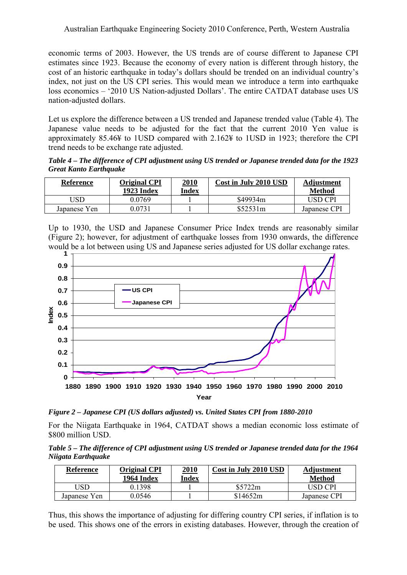economic terms of 2003. However, the US trends are of course different to Japanese CPI estimates since 1923. Because the economy of every nation is different through history, the cost of an historic earthquake in today's dollars should be trended on an individual country's index, not just on the US CPI series. This would mean we introduce a term into earthquake loss economics – '2010 US Nation-adjusted Dollars'. The entire CATDAT database uses US nation-adjusted dollars.

Let us explore the difference between a US trended and Japanese trended value [\(Table 4\)](#page-7-0). The Japanese value needs to be adjusted for the fact that the current 2010 Yen value is approximately 85.46¥ to 1USD compared with 2.162¥ to 1USD in 1923; therefore the CPI trend needs to be exchange rate adjusted.

<span id="page-7-0"></span>*Table 4 – The difference of CPI adjustment using US trended or Japanese trended data for the 1923 Great Kanto Earthquake* 

| <b>Reference</b> | Original CPI<br><b>1923 Index</b> | <b>2010</b><br>Index | Cost in July 2010 USD | <b>Adjustment</b><br>Method |
|------------------|-----------------------------------|----------------------|-----------------------|-----------------------------|
| USD              | 0.0769                            |                      | \$49934m              | USD CPL                     |
| Japanese Yen     | 0.0731                            |                      | \$52531m              | Japanese CPI                |

Up to 1930, the USD and Japanese Consumer Price Index trends are reasonably similar ([Figure 2](#page-7-1)); however, for adjustment of earthquake losses from 1930 onwards, the difference would be a lot between using US and Japanese series adjusted for US dollar exchange rates.



<span id="page-7-1"></span>*Figure 2 – Japanese CPI (US dollars adjusted) vs. United States CPI from 1880-2010*

For the Niigata Earthquake in 1964, CATDAT shows a median economic loss estimate of \$800 million USD.

*Table 5 – The difference of CPI adjustment using US trended or Japanese trended data for the 1964 Niigata Earthquake* 

| Reference    | Original CPI<br>1964 Index | <u>2010</u><br>Index | Cost in July 2010 USD | <b>Adjustment</b><br>Method |
|--------------|----------------------------|----------------------|-----------------------|-----------------------------|
| USD          | 0.1398                     |                      | \$5722m               | USD CPI                     |
| Japanese Yen | 0.0546                     |                      | \$14652m              | Japanese CPI                |

Thus, this shows the importance of adjusting for differing country CPI series, if inflation is to be used. This shows one of the errors in existing databases. However, through the creation of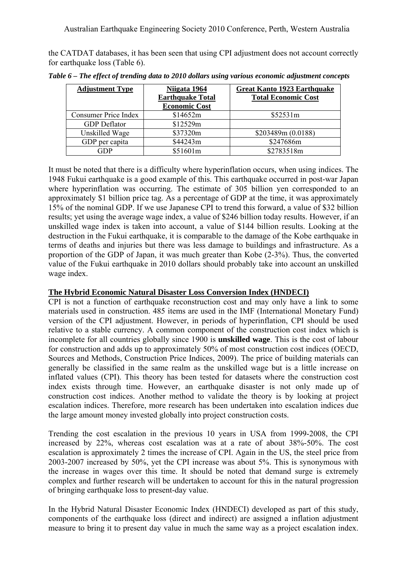the CATDAT databases, it has been seen that using CPI adjustment does not account correctly for earthquake loss [\(Table 6\)](#page-8-0).

| <b>Adjustment Type</b>      | Niigata 1964                                    | <b>Great Kanto 1923 Earthquake</b> |
|-----------------------------|-------------------------------------------------|------------------------------------|
|                             | <b>Earthquake Total</b><br><b>Economic Cost</b> | <b>Total Economic Cost</b>         |
| <b>Consumer Price Index</b> | \$14652m                                        | \$52531m                           |
| <b>GDP</b> Deflator         | \$12529m                                        |                                    |
| Unskilled Wage              | \$37320m                                        | \$203489m (0.0188)                 |
| GDP per capita              | \$44243m                                        | \$247686m                          |
| GDP                         | \$51601m                                        | \$2783518m                         |

<span id="page-8-0"></span>*Table 6 – The effect of trending data to 2010 dollars using various economic adjustment concepts* 

It must be noted that there is a difficulty where hyperinflation occurs, when using indices. The 1948 Fukui earthquake is a good example of this. This earthquake occurred in post-war Japan where hyperinflation was occurring. The estimate of 305 billion yen corresponded to an approximately \$1 billion price tag. As a percentage of GDP at the time, it was approximately 15% of the nominal GDP. If we use Japanese CPI to trend this forward, a value of \$32 billion results; yet using the average wage index, a value of \$246 billion today results. However, if an unskilled wage index is taken into account, a value of \$144 billion results. Looking at the destruction in the Fukui earthquake, it is comparable to the damage of the Kobe earthquake in terms of deaths and injuries but there was less damage to buildings and infrastructure. As a proportion of the GDP of Japan, it was much greater than Kobe (2-3%). Thus, the converted value of the Fukui earthquake in 2010 dollars should probably take into account an unskilled wage index.

# **The Hybrid Economic Natural Disaster Loss Conversion Index (HNDECI)**

CPI is not a function of earthquake reconstruction cost and may only have a link to some materials used in construction. 485 items are used in the IMF (International Monetary Fund) version of the CPI adjustment. However, in periods of hyperinflation, CPI should be used relative to a stable currency. A common component of the construction cost index which is incomplete for all countries globally since 1900 is **unskilled wage**. This is the cost of labour for construction and adds up to approximately 50% of most construction cost indices (OECD, Sources and Methods, Construction Price Indices, 2009). The price of building materials can generally be classified in the same realm as the unskilled wage but is a little increase on inflated values (CPI). This theory has been tested for datasets where the construction cost index exists through time. However, an earthquake disaster is not only made up of construction cost indices. Another method to validate the theory is by looking at project escalation indices. Therefore, more research has been undertaken into escalation indices due the large amount money invested globally into project construction costs.

Trending the cost escalation in the previous 10 years in USA from 1999-2008, the CPI increased by 22%, whereas cost escalation was at a rate of about 38%-50%. The cost escalation is approximately 2 times the increase of CPI. Again in the US, the steel price from 2003-2007 increased by 50%, yet the CPI increase was about 5%. This is synonymous with the increase in wages over this time. It should be noted that demand surge is extremely complex and further research will be undertaken to account for this in the natural progression of bringing earthquake loss to present-day value.

In the Hybrid Natural Disaster Economic Index (HNDECI) developed as part of this study, components of the earthquake loss (direct and indirect) are assigned a inflation adjustment measure to bring it to present day value in much the same way as a project escalation index.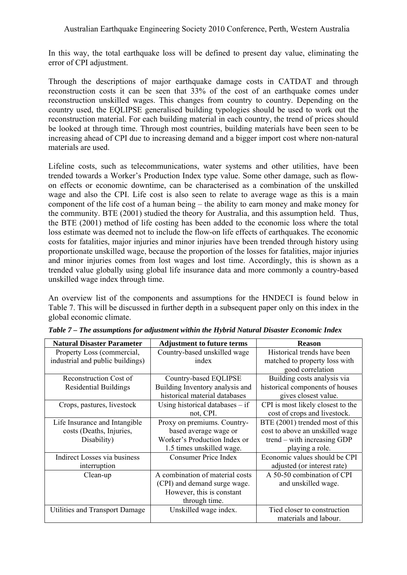In this way, the total earthquake loss will be defined to present day value, eliminating the error of CPI adjustment.

Through the descriptions of major earthquake damage costs in CATDAT and through reconstruction costs it can be seen that 33% of the cost of an earthquake comes under reconstruction unskilled wages. This changes from country to country. Depending on the country used, the EQLIPSE generalised building typologies should be used to work out the reconstruction material. For each building material in each country, the trend of prices should be looked at through time. Through most countries, building materials have been seen to be increasing ahead of CPI due to increasing demand and a bigger import cost where non-natural materials are used.

Lifeline costs, such as telecommunications, water systems and other utilities, have been trended towards a Worker's Production Index type value. Some other damage, such as flowon effects or economic downtime, can be characterised as a combination of the unskilled wage and also the CPI. Life cost is also seen to relate to average wage as this is a main component of the life cost of a human being – the ability to earn money and make money for the community. BTE (2001) studied the theory for Australia, and this assumption held. Thus, the BTE (2001) method of life costing has been added to the economic loss where the total loss estimate was deemed not to include the flow-on life effects of earthquakes. The economic costs for fatalities, major injuries and minor injuries have been trended through history using proportionate unskilled wage, because the proportion of the losses for fatalities, major injuries and minor injuries comes from lost wages and lost time. Accordingly, this is shown as a trended value globally using global life insurance data and more commonly a country-based unskilled wage index through time.

An overview list of the components and assumptions for the HNDECI is found below in [Table 7](#page-9-0). This will be discussed in further depth in a subsequent paper only on this index in the global economic climate.

<span id="page-9-0"></span>

| <b>Natural Disaster Parameter</b> | <b>Adjustment to future terms</b> | <b>Reason</b>                     |
|-----------------------------------|-----------------------------------|-----------------------------------|
| Property Loss (commercial,        | Country-based unskilled wage      | Historical trends have been       |
| industrial and public buildings)  | index                             | matched to property loss with     |
|                                   |                                   | good correlation                  |
| Reconstruction Cost of            | Country-based EQLIPSE             | Building costs analysis via       |
| <b>Residential Buildings</b>      | Building Inventory analysis and   | historical components of houses   |
|                                   | historical material databases     | gives closest value.              |
| Crops, pastures, livestock        | Using historical databases $-$ if | CPI is most likely closest to the |
|                                   | not, CPI.                         | cost of crops and livestock.      |
| Life Insurance and Intangible     | Proxy on premiums. Country-       | BTE (2001) trended most of this   |
| costs (Deaths, Injuries,          | based average wage or             | cost to above an unskilled wage   |
| Disability)                       | Worker's Production Index or      | trend – with increasing GDP       |
|                                   | 1.5 times unskilled wage.         | playing a role.                   |
| Indirect Losses via business      | <b>Consumer Price Index</b>       | Economic values should be CPI     |
| interruption                      |                                   | adjusted (or interest rate)       |
| Clean-up                          | A combination of material costs   | A 50-50 combination of CPI        |
|                                   | (CPI) and demand surge wage.      | and unskilled wage.               |
|                                   | However, this is constant         |                                   |
|                                   | through time.                     |                                   |
| Utilities and Transport Damage    | Unskilled wage index.             | Tied closer to construction       |
|                                   |                                   | materials and labour.             |

*Table 7 – The assumptions for adjustment within the Hybrid Natural Disaster Economic Index*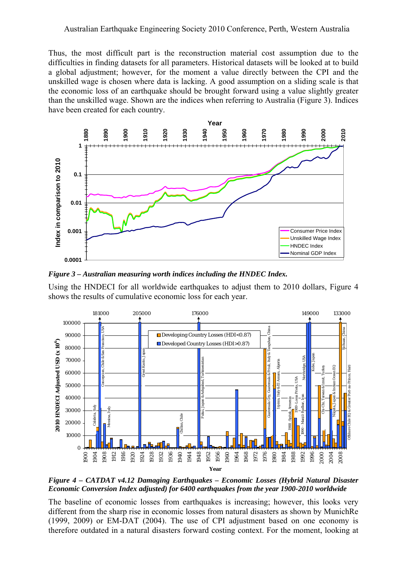#### Australian Earthquake Engineering Society 2010 Conference, Perth, Western Australia

Thus, the most difficult part is the reconstruction material cost assumption due to the difficulties in finding datasets for all parameters. Historical datasets will be looked at to build a global adjustment; however, for the moment a value directly between the CPI and the unskilled wage is chosen where data is lacking. A good assumption on a sliding scale is that the economic loss of an earthquake should be brought forward using a value slightly greater than the unskilled wage. Shown are the indices when referring to Australia [\(Figure 3\)](#page-10-0). Indices have been created for each country.



<span id="page-10-0"></span>*Figure 3 – Australian measuring worth indices including the HNDEC Index.* 

Using the HNDECI for all worldwide earthquakes to adjust them to 2010 dollars, [Figure 4](#page-10-1) shows the results of cumulative economic loss for each year.



<span id="page-10-1"></span>*Figure 4 – CATDAT v4.12 Damaging Earthquakes – Economic Losses (Hybrid Natural Disaster Economic Conversion Index adjusted) for 6400 earthquakes from the year 1900-2010 worldwide* 

The baseline of economic losses from earthquakes is increasing; however, this looks very different from the sharp rise in economic losses from natural disasters as shown by MunichRe (1999, 2009) or EM-DAT (2004). The use of CPI adjustment based on one economy is therefore outdated in a natural disasters forward costing context. For the moment, looking at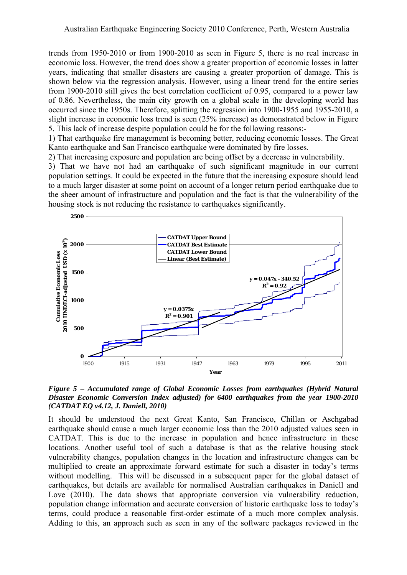trends from 1950-2010 or from 1900-2010 as seen in [Figure 5,](#page-11-0) there is no real increase in economic loss. However, the trend does show a greater proportion of economic losses in latter years, indicating that smaller disasters are causing a greater proportion of damage. This is shown below via the regression analysis. However, using a linear trend for the entire series from 1900-2010 still gives the best correlation coefficient of 0.95, compared to a power law of 0.86. Nevertheless, the main city growth on a global scale in the developing world has occurred since the 1950s. Therefore, splitting the regression into 1900-1955 and 1955-2010, a slight increase in economic loss trend is seen (25% increase) as demonstrated below in [Figure](#page-11-0)  [5.](#page-11-0) This lack of increase despite population could be for the following reasons:-

1) That earthquake fire management is becoming better, reducing economic losses. The Great Kanto earthquake and San Francisco earthquake were dominated by fire losses.

2) That increasing exposure and population are being offset by a decrease in vulnerability.

3) That we have not had an earthquake of such significant magnitude in our current population settings. It could be expected in the future that the increasing exposure should lead to a much larger disaster at some point on account of a longer return period earthquake due to the sheer amount of infrastructure and population and the fact is that the vulnerability of the housing stock is not reducing the resistance to earthquakes significantly.



<span id="page-11-0"></span>*Figure 5 – Accumulated range of Global Economic Losses from earthquakes (Hybrid Natural Disaster Economic Conversion Index adjusted) for 6400 earthquakes from the year 1900-2010 (CATDAT EQ v4.12, J. Daniell, 2010)* 

It should be understood the next Great Kanto, San Francisco, Chillan or Aschgabad earthquake should cause a much larger economic loss than the 2010 adjusted values seen in CATDAT. This is due to the increase in population and hence infrastructure in these locations. Another useful tool of such a database is that as the relative housing stock vulnerability changes, population changes in the location and infrastructure changes can be multiplied to create an approximate forward estimate for such a disaster in today's terms without modelling. This will be discussed in a subsequent paper for the global dataset of earthquakes, but details are available for normalised Australian earthquakes in Daniell and Love (2010). The data shows that appropriate conversion via vulnerability reduction, population change information and accurate conversion of historic earthquake loss to today's terms, could produce a reasonable first-order estimate of a much more complex analysis. Adding to this, an approach such as seen in any of the software packages reviewed in the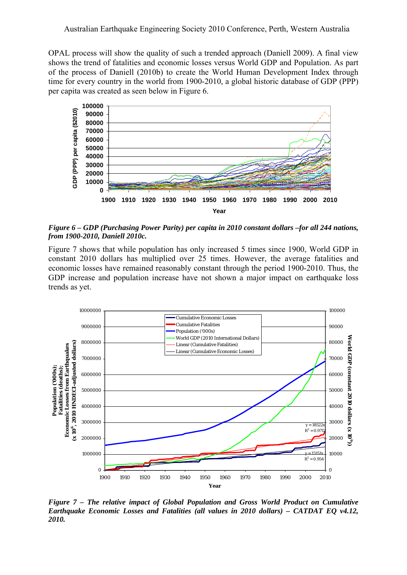OPAL process will show the quality of such a trended approach (Daniell 2009). A final view shows the trend of fatalities and economic losses versus World GDP and Population. As part of the process of Daniell (2010b) to create the World Human Development Index through time for every country in the world from 1900-2010, a global historic database of GDP (PPP) per capita was created as seen below in [Figure 6](#page-12-0).



<span id="page-12-0"></span>*Figure 6 – GDP (Purchasing Power Parity) per capita in 2010 constant dollars –for all 244 nations, from 1900-2010, Daniell 2010c.* 

[Figure 7](#page-12-1) shows that while population has only increased 5 times since 1900, World GDP in constant 2010 dollars has multiplied over 25 times. However, the average fatalities and economic losses have remained reasonably constant through the period 1900-2010. Thus, the GDP increase and population increase have not shown a major impact on earthquake loss trends as yet.



<span id="page-12-1"></span>*Figure 7 – The relative impact of Global Population and Gross World Product on Cumulative Earthquake Economic Losses and Fatalities (all values in 2010 dollars) – CATDAT EQ v4.12, 2010.*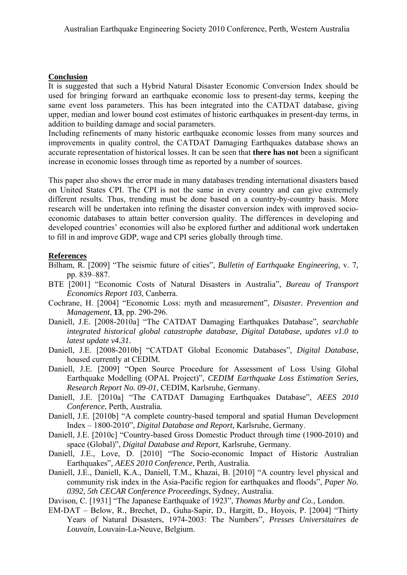## **Conclusion**

It is suggested that such a Hybrid Natural Disaster Economic Conversion Index should be used for bringing forward an earthquake economic loss to present-day terms, keeping the same event loss parameters. This has been integrated into the CATDAT database, giving upper, median and lower bound cost estimates of historic earthquakes in present-day terms, in addition to building damage and social parameters.

Including refinements of many historic earthquake economic losses from many sources and improvements in quality control, the CATDAT Damaging Earthquakes database shows an accurate representation of historical losses. It can be seen that **there has not** been a significant increase in economic losses through time as reported by a number of sources.

This paper also shows the error made in many databases trending international disasters based on United States CPI. The CPI is not the same in every country and can give extremely different results. Thus, trending must be done based on a country-by-country basis. More research will be undertaken into refining the disaster conversion index with improved socioeconomic databases to attain better conversion quality. The differences in developing and developed countries' economies will also be explored further and additional work undertaken to fill in and improve GDP, wage and CPI series globally through time.

## **References**

- Bilham, R. [2009] "The seismic future of cities", *Bulletin of Earthquake Engineering,* v. 7, pp. 839–887.
- BTE [2001] "Economic Costs of Natural Disasters in Australia", *Bureau of Transport Economics Report 103*, Canberra.
- Cochrane, H. [2004] "Economic Loss: myth and measurement", *Disaster. Prevention and Management*, **13**, pp. 290-296.
- Daniell, J.E. [2008-2010a] "The CATDAT Damaging Earthquakes Database"*, searchable integrated historical global catastrophe database, Digital Database, updates v1.0 to latest update v4.31.*
- Daniell, J.E. [2008-2010b] "CATDAT Global Economic Databases"*, Digital Database*, housed currently at CEDIM*.*
- Daniell, J.E. [2009] "Open Source Procedure for Assessment of Loss Using Global Earthquake Modelling (OPAL Project)", *CEDIM Earthquake Loss Estimation Series, Research Report No. 09-01,* CEDIM, Karlsruhe, Germany.
- Daniell, J.E. [2010a] "The CATDAT Damaging Earthquakes Database"*, AEES 2010 Conference*, Perth, Australia*.*
- Daniell, J.E. [2010b] "A complete country-based temporal and spatial Human Development Index – 1800-2010", *Digital Database and Report,* Karlsruhe, Germany.
- Daniell, J.E. [2010c] "Country-based Gross Domestic Product through time (1900-2010) and space (Global)", *Digital Database and Report,* Karlsruhe, Germany.
- Daniell, J.E., Love, D. [2010] "The Socio-economic Impact of Historic Australian Earthquakes"*, AEES 2010 Conference*, Perth, Australia*.*
- Daniell, J.E., Daniell, K.A., Daniell, T.M., Khazai, B. [2010] "A country level physical and community risk index in the Asia-Pacific region for earthquakes and floods", *Paper No. 0392, 5th CECAR Conference Proceedings*, Sydney, Australia.
- Davison, C. [1931] "The Japanese Earthquake of 1923", *Thomas Murby and Co.,* London.
- EM-DAT Below, R., Brechet, D., Guha-Sapir, D., Hargitt, D., Hoyois, P. [2004] "Thirty Years of Natural Disasters, 1974-2003: The Numbers", *Presses Universitaires de Louvain*, Louvain-La-Neuve, Belgium.